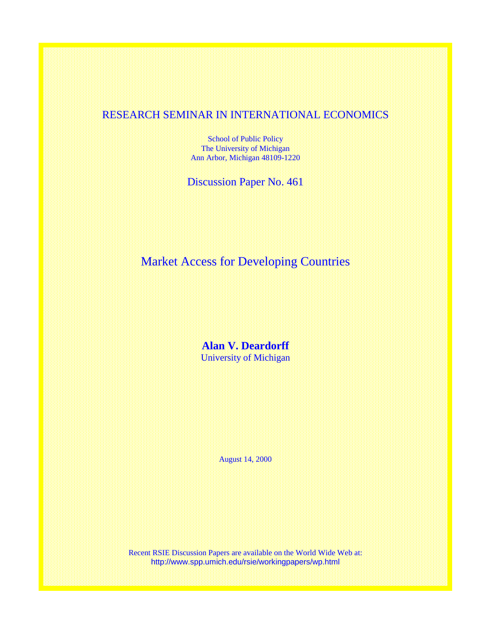# RESEARCH SEMINAR IN INTERNATIONAL ECONOMICS

School of Public Policy The University of Michigan Ann Arbor, Michigan 48109-1220

Discussion Paper No. 461

Market Access for Developing Countries

**Alan V. Deardorff**  University of Michigan

August 14, 2000

Recent RSIE Discussion Papers are available on the World Wide Web at: http://www.spp.umich.edu/rsie/workingpapers/wp.html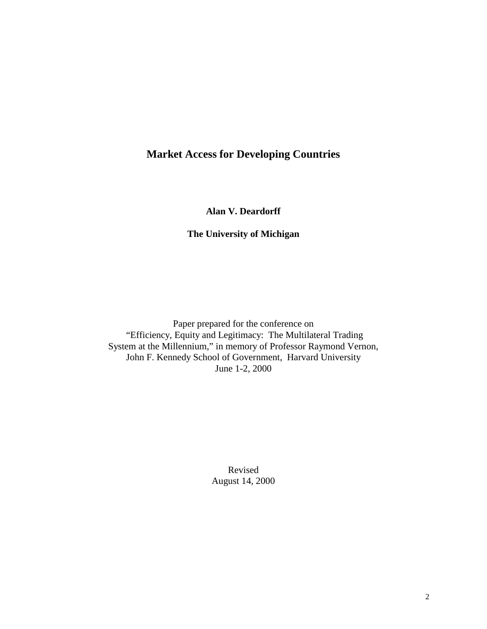# **Market Access for Developing Countries**

**Alan V. Deardorff** 

## **The University of Michigan**

Paper prepared for the conference on "Efficiency, Equity and Legitimacy: The Multilateral Trading System at the Millennium," in memory of Professor Raymond Vernon, John F. Kennedy School of Government, Harvard University June 1-2, 2000

> Revised August 14, 2000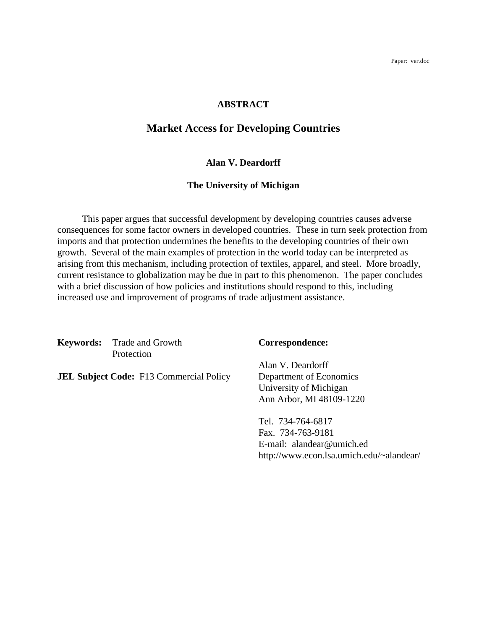Paper: ver.doc

## **ABSTRACT**

# **Market Access for Developing Countries**

## **Alan V. Deardorff**

#### **The University of Michigan**

 This paper argues that successful development by developing countries causes adverse consequences for some factor owners in developed countries. These in turn seek protection from imports and that protection undermines the benefits to the developing countries of their own growth. Several of the main examples of protection in the world today can be interpreted as arising from this mechanism, including protection of textiles, apparel, and steel. More broadly, current resistance to globalization may be due in part to this phenomenon. The paper concludes with a brief discussion of how policies and institutions should respond to this, including increased use and improvement of programs of trade adjustment assistance.

**Keywords:** Trade and Growth **Correspondence:** Protection

**JEL Subject Code:** F13 Commercial Policy Department of Economics

 Alan V. Deardorff University of Michigan Ann Arbor, MI 48109-1220

 Tel. 734-764-6817 Fax. 734-763-9181 E-mail: alandear@umich.ed http://www.econ.lsa.umich.edu/~alandear/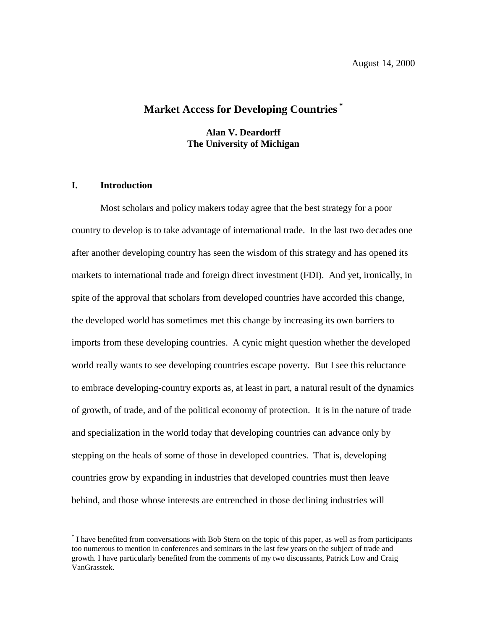# **Market Access for Developing Countries \***

**Alan V. Deardorff The University of Michigan** 

## **I. Introduction**

 $\overline{a}$ 

Most scholars and policy makers today agree that the best strategy for a poor country to develop is to take advantage of international trade. In the last two decades one after another developing country has seen the wisdom of this strategy and has opened its markets to international trade and foreign direct investment (FDI). And yet, ironically, in spite of the approval that scholars from developed countries have accorded this change, the developed world has sometimes met this change by increasing its own barriers to imports from these developing countries. A cynic might question whether the developed world really wants to see developing countries escape poverty. But I see this reluctance to embrace developing-country exports as, at least in part, a natural result of the dynamics of growth, of trade, and of the political economy of protection. It is in the nature of trade and specialization in the world today that developing countries can advance only by stepping on the heals of some of those in developed countries. That is, developing countries grow by expanding in industries that developed countries must then leave behind, and those whose interests are entrenched in those declining industries will

<sup>\*</sup> I have benefited from conversations with Bob Stern on the topic of this paper, as well as from participants too numerous to mention in conferences and seminars in the last few years on the subject of trade and growth. I have particularly benefited from the comments of my two discussants, Patrick Low and Craig VanGrasstek.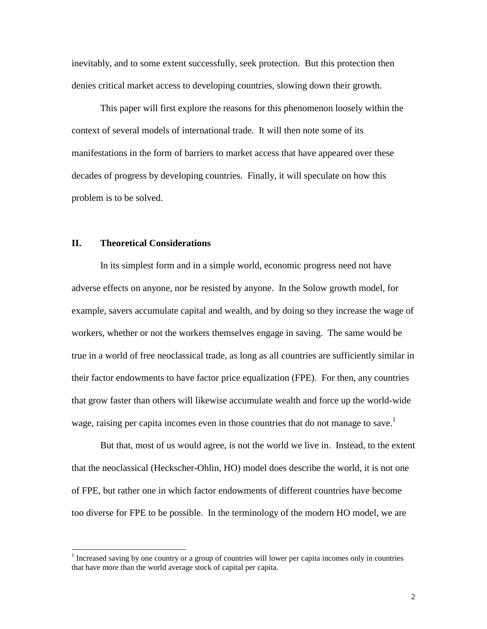inevitably, and to some extent successfully, seek protection. But this protection then denies critical market access to developing countries, slowing down their growth.

This paper will first explore the reasons for this phenomenon loosely within the context of several models of international trade. It will then note some of its manifestations in the form of barriers to market access that have appeared over these decades of progress by developing countries. Finally, it will speculate on how this problem is to be solved.

#### **II. Theoretical Considerations**

 $\overline{a}$ 

In its simplest form and in a simple world, economic progress need not have adverse effects on anyone, nor be resisted by anyone. In the Solow growth model, for example, savers accumulate capital and wealth, and by doing so they increase the wage of workers, whether or not the workers themselves engage in saving. The same would be true in a world of free neoclassical trade, as long as all countries are sufficiently similar in their factor endowments to have factor price equalization (FPE). For then, any countries that grow faster than others will likewise accumulate wealth and force up the world-wide wage, raising per capita incomes even in those countries that do not manage to save.<sup>1</sup>

But that, most of us would agree, is not the world we live in. Instead, to the extent that the neoclassical (Heckscher-Ohlin, HO) model does describe the world, it is not one of FPE, but rather one in which factor endowments of different countries have become too diverse for FPE to be possible. In the terminology of the modern HO model, we are

 $<sup>1</sup>$  Increased saving by one country or a group of countries will lower per capita incomes only in countries</sup> that have more than the world average stock of capital per capita.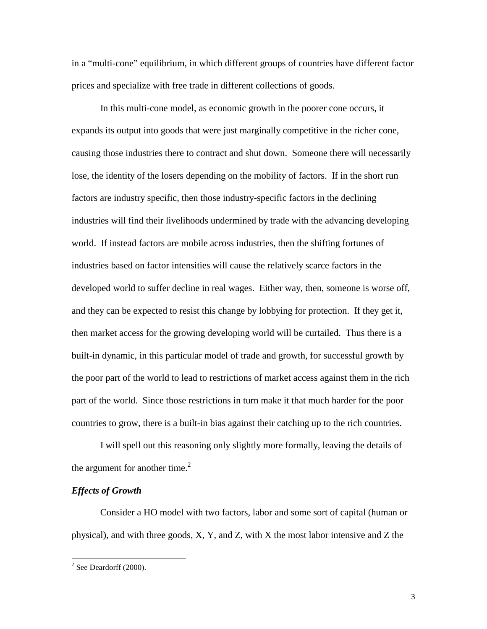in a "multi-cone" equilibrium, in which different groups of countries have different factor prices and specialize with free trade in different collections of goods.

In this multi-cone model, as economic growth in the poorer cone occurs, it expands its output into goods that were just marginally competitive in the richer cone, causing those industries there to contract and shut down. Someone there will necessarily lose, the identity of the losers depending on the mobility of factors. If in the short run factors are industry specific, then those industry-specific factors in the declining industries will find their livelihoods undermined by trade with the advancing developing world. If instead factors are mobile across industries, then the shifting fortunes of industries based on factor intensities will cause the relatively scarce factors in the developed world to suffer decline in real wages. Either way, then, someone is worse off, and they can be expected to resist this change by lobbying for protection. If they get it, then market access for the growing developing world will be curtailed. Thus there is a built-in dynamic, in this particular model of trade and growth, for successful growth by the poor part of the world to lead to restrictions of market access against them in the rich part of the world. Since those restrictions in turn make it that much harder for the poor countries to grow, there is a built-in bias against their catching up to the rich countries.

I will spell out this reasoning only slightly more formally, leaving the details of the argument for another time. $2$ 

## *Effects of Growth*

Consider a HO model with two factors, labor and some sort of capital (human or physical), and with three goods, X, Y, and Z, with X the most labor intensive and Z the

 $\overline{a}$ 

 $2$  See Deardorff (2000).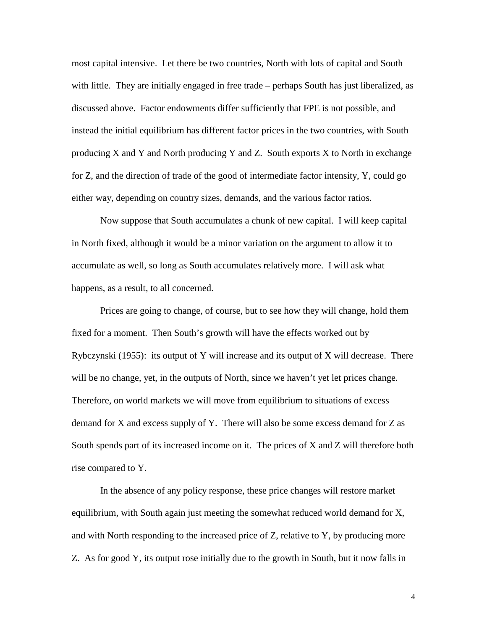most capital intensive. Let there be two countries, North with lots of capital and South with little. They are initially engaged in free trade – perhaps South has just liberalized, as discussed above. Factor endowments differ sufficiently that FPE is not possible, and instead the initial equilibrium has different factor prices in the two countries, with South producing X and Y and North producing Y and Z. South exports X to North in exchange for Z, and the direction of trade of the good of intermediate factor intensity, Y, could go either way, depending on country sizes, demands, and the various factor ratios.

Now suppose that South accumulates a chunk of new capital. I will keep capital in North fixed, although it would be a minor variation on the argument to allow it to accumulate as well, so long as South accumulates relatively more. I will ask what happens, as a result, to all concerned.

Prices are going to change, of course, but to see how they will change, hold them fixed for a moment. Then South's growth will have the effects worked out by Rybczynski (1955): its output of Y will increase and its output of X will decrease. There will be no change, yet, in the outputs of North, since we haven't yet let prices change. Therefore, on world markets we will move from equilibrium to situations of excess demand for X and excess supply of Y. There will also be some excess demand for Z as South spends part of its increased income on it. The prices of X and Z will therefore both rise compared to Y.

In the absence of any policy response, these price changes will restore market equilibrium, with South again just meeting the somewhat reduced world demand for X, and with North responding to the increased price of Z, relative to Y, by producing more Z. As for good Y, its output rose initially due to the growth in South, but it now falls in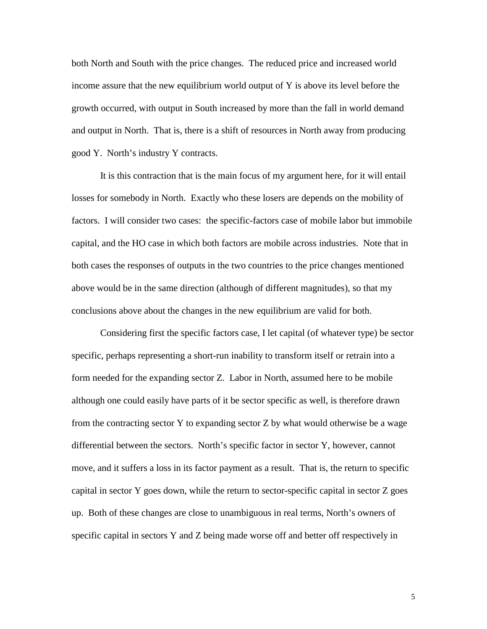both North and South with the price changes. The reduced price and increased world income assure that the new equilibrium world output of  $Y$  is above its level before the growth occurred, with output in South increased by more than the fall in world demand and output in North. That is, there is a shift of resources in North away from producing good Y. North's industry Y contracts.

It is this contraction that is the main focus of my argument here, for it will entail losses for somebody in North. Exactly who these losers are depends on the mobility of factors. I will consider two cases: the specific-factors case of mobile labor but immobile capital, and the HO case in which both factors are mobile across industries. Note that in both cases the responses of outputs in the two countries to the price changes mentioned above would be in the same direction (although of different magnitudes), so that my conclusions above about the changes in the new equilibrium are valid for both.

Considering first the specific factors case, I let capital (of whatever type) be sector specific, perhaps representing a short-run inability to transform itself or retrain into a form needed for the expanding sector Z. Labor in North, assumed here to be mobile although one could easily have parts of it be sector specific as well, is therefore drawn from the contracting sector Y to expanding sector Z by what would otherwise be a wage differential between the sectors. North's specific factor in sector Y, however, cannot move, and it suffers a loss in its factor payment as a result. That is, the return to specific capital in sector Y goes down, while the return to sector-specific capital in sector Z goes up. Both of these changes are close to unambiguous in real terms, North's owners of specific capital in sectors Y and Z being made worse off and better off respectively in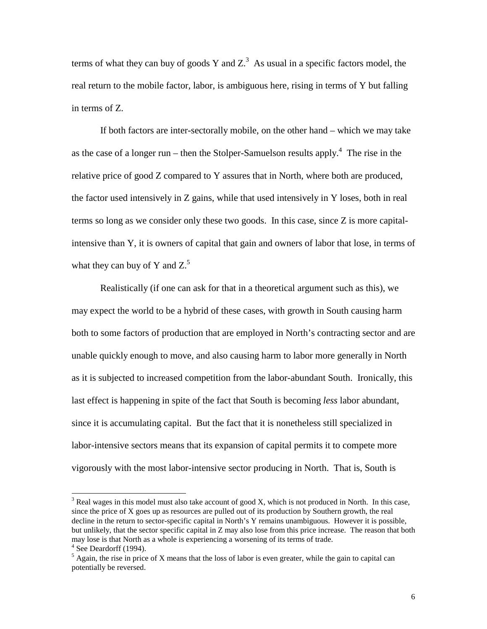terms of what they can buy of goods Y and  $Z<sup>3</sup>$ . As usual in a specific factors model, the real return to the mobile factor, labor, is ambiguous here, rising in terms of Y but falling in terms of Z.

If both factors are inter-sectorally mobile, on the other hand – which we may take as the case of a longer run – then the Stolper-Samuelson results apply.<sup>4</sup> The rise in the relative price of good Z compared to Y assures that in North, where both are produced, the factor used intensively in Z gains, while that used intensively in Y loses, both in real terms so long as we consider only these two goods. In this case, since Z is more capitalintensive than Y, it is owners of capital that gain and owners of labor that lose, in terms of what they can buy of Y and  $Z^5$ .

Realistically (if one can ask for that in a theoretical argument such as this), we may expect the world to be a hybrid of these cases, with growth in South causing harm both to some factors of production that are employed in North's contracting sector and are unable quickly enough to move, and also causing harm to labor more generally in North as it is subjected to increased competition from the labor-abundant South. Ironically, this last effect is happening in spite of the fact that South is becoming *less* labor abundant, since it is accumulating capital. But the fact that it is nonetheless still specialized in labor-intensive sectors means that its expansion of capital permits it to compete more vigorously with the most labor-intensive sector producing in North. That is, South is

 $\overline{a}$ 

 $3$  Real wages in this model must also take account of good X, which is not produced in North. In this case, since the price of X goes up as resources are pulled out of its production by Southern growth, the real decline in the return to sector-specific capital in North's Y remains unambiguous. However it is possible, but unlikely, that the sector specific capital in Z may also lose from this price increase. The reason that both may lose is that North as a whole is experiencing a worsening of its terms of trade.

<sup>&</sup>lt;sup>4</sup> See Deardorff (1994).

 $<sup>5</sup>$  Again, the rise in price of X means that the loss of labor is even greater, while the gain to capital can</sup> potentially be reversed.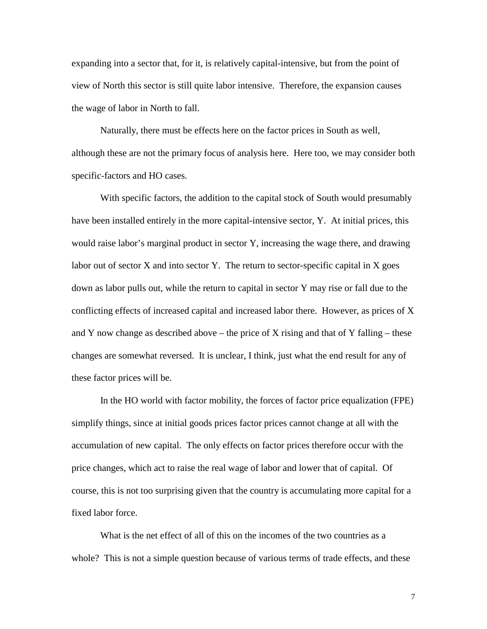expanding into a sector that, for it, is relatively capital-intensive, but from the point of view of North this sector is still quite labor intensive. Therefore, the expansion causes the wage of labor in North to fall.

Naturally, there must be effects here on the factor prices in South as well, although these are not the primary focus of analysis here. Here too, we may consider both specific-factors and HO cases.

With specific factors, the addition to the capital stock of South would presumably have been installed entirely in the more capital-intensive sector, Y. At initial prices, this would raise labor's marginal product in sector Y, increasing the wage there, and drawing labor out of sector X and into sector Y. The return to sector-specific capital in X goes down as labor pulls out, while the return to capital in sector Y may rise or fall due to the conflicting effects of increased capital and increased labor there. However, as prices of X and Y now change as described above – the price of X rising and that of Y falling – these changes are somewhat reversed. It is unclear, I think, just what the end result for any of these factor prices will be.

In the HO world with factor mobility, the forces of factor price equalization (FPE) simplify things, since at initial goods prices factor prices cannot change at all with the accumulation of new capital. The only effects on factor prices therefore occur with the price changes, which act to raise the real wage of labor and lower that of capital. Of course, this is not too surprising given that the country is accumulating more capital for a fixed labor force.

What is the net effect of all of this on the incomes of the two countries as a whole? This is not a simple question because of various terms of trade effects, and these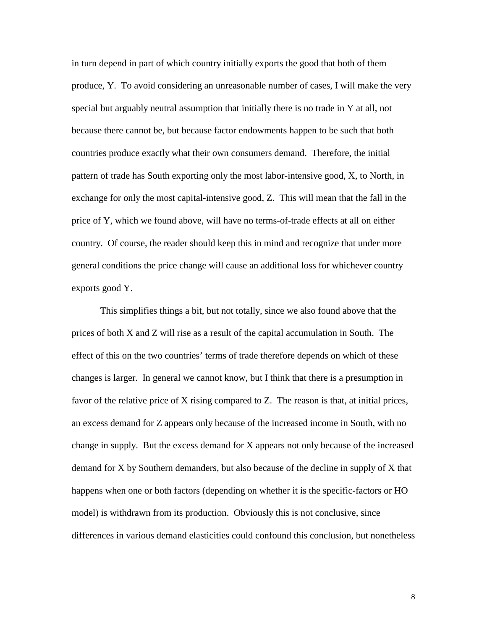in turn depend in part of which country initially exports the good that both of them produce, Y. To avoid considering an unreasonable number of cases, I will make the very special but arguably neutral assumption that initially there is no trade in Y at all, not because there cannot be, but because factor endowments happen to be such that both countries produce exactly what their own consumers demand. Therefore, the initial pattern of trade has South exporting only the most labor-intensive good, X, to North, in exchange for only the most capital-intensive good, Z. This will mean that the fall in the price of Y, which we found above, will have no terms-of-trade effects at all on either country. Of course, the reader should keep this in mind and recognize that under more general conditions the price change will cause an additional loss for whichever country exports good Y.

This simplifies things a bit, but not totally, since we also found above that the prices of both X and Z will rise as a result of the capital accumulation in South. The effect of this on the two countries' terms of trade therefore depends on which of these changes is larger. In general we cannot know, but I think that there is a presumption in favor of the relative price of X rising compared to Z. The reason is that, at initial prices, an excess demand for Z appears only because of the increased income in South, with no change in supply. But the excess demand for X appears not only because of the increased demand for X by Southern demanders, but also because of the decline in supply of X that happens when one or both factors (depending on whether it is the specific-factors or HO model) is withdrawn from its production. Obviously this is not conclusive, since differences in various demand elasticities could confound this conclusion, but nonetheless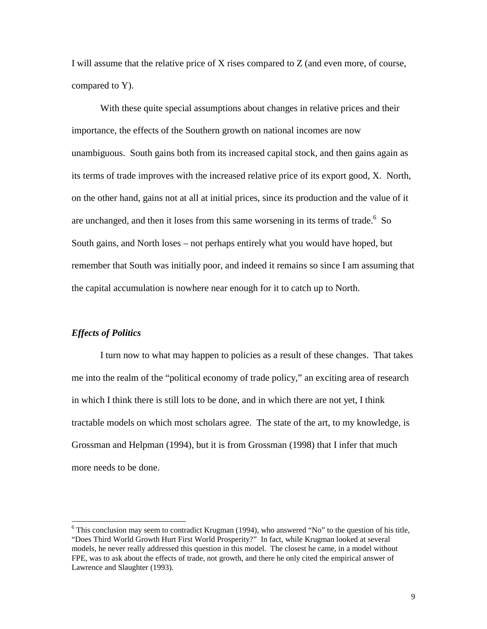I will assume that the relative price of X rises compared to Z (and even more, of course, compared to Y).

With these quite special assumptions about changes in relative prices and their importance, the effects of the Southern growth on national incomes are now unambiguous. South gains both from its increased capital stock, and then gains again as its terms of trade improves with the increased relative price of its export good, X. North, on the other hand, gains not at all at initial prices, since its production and the value of it are unchanged, and then it loses from this same worsening in its terms of trade.  $6\,$  So South gains, and North loses – not perhaps entirely what you would have hoped, but remember that South was initially poor, and indeed it remains so since I am assuming that the capital accumulation is nowhere near enough for it to catch up to North.

#### *Effects of Politics*

I turn now to what may happen to policies as a result of these changes. That takes me into the realm of the "political economy of trade policy," an exciting area of research in which I think there is still lots to be done, and in which there are not yet, I think tractable models on which most scholars agree. The state of the art, to my knowledge, is Grossman and Helpman (1994), but it is from Grossman (1998) that I infer that much more needs to be done.

<sup>&</sup>lt;sup>6</sup> This conclusion may seem to contradict Krugman (1994), who answered "No" to the question of his title, "Does Third World Growth Hurt First World Prosperity?" In fact, while Krugman looked at several models, he never really addressed this question in this model. The closest he came, in a model without FPE, was to ask about the effects of trade, not growth, and there he only cited the empirical answer of Lawrence and Slaughter (1993).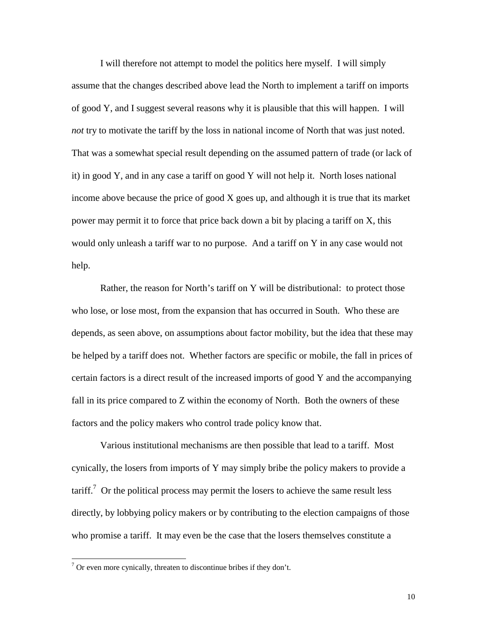I will therefore not attempt to model the politics here myself. I will simply assume that the changes described above lead the North to implement a tariff on imports of good Y, and I suggest several reasons why it is plausible that this will happen. I will *not* try to motivate the tariff by the loss in national income of North that was just noted. That was a somewhat special result depending on the assumed pattern of trade (or lack of it) in good Y, and in any case a tariff on good Y will not help it. North loses national income above because the price of good X goes up, and although it is true that its market power may permit it to force that price back down a bit by placing a tariff on X, this would only unleash a tariff war to no purpose. And a tariff on Y in any case would not help.

Rather, the reason for North's tariff on Y will be distributional: to protect those who lose, or lose most, from the expansion that has occurred in South. Who these are depends, as seen above, on assumptions about factor mobility, but the idea that these may be helped by a tariff does not. Whether factors are specific or mobile, the fall in prices of certain factors is a direct result of the increased imports of good Y and the accompanying fall in its price compared to Z within the economy of North. Both the owners of these factors and the policy makers who control trade policy know that.

Various institutional mechanisms are then possible that lead to a tariff. Most cynically, the losers from imports of Y may simply bribe the policy makers to provide a  $\text{tariff.}^7$  Or the political process may permit the losers to achieve the same result less directly, by lobbying policy makers or by contributing to the election campaigns of those who promise a tariff. It may even be the case that the losers themselves constitute a

 $\overline{a}$ 

 $7$  Or even more cynically, threaten to discontinue bribes if they don't.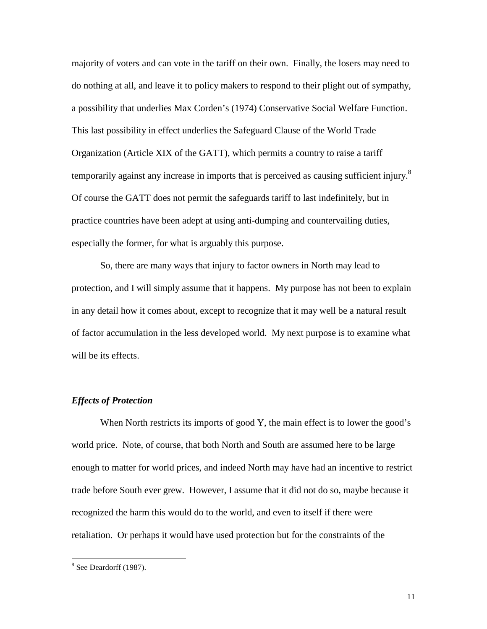majority of voters and can vote in the tariff on their own. Finally, the losers may need to do nothing at all, and leave it to policy makers to respond to their plight out of sympathy, a possibility that underlies Max Corden's (1974) Conservative Social Welfare Function. This last possibility in effect underlies the Safeguard Clause of the World Trade Organization (Article XIX of the GATT), which permits a country to raise a tariff temporarily against any increase in imports that is perceived as causing sufficient injury. $8$ Of course the GATT does not permit the safeguards tariff to last indefinitely, but in practice countries have been adept at using anti-dumping and countervailing duties, especially the former, for what is arguably this purpose.

So, there are many ways that injury to factor owners in North may lead to protection, and I will simply assume that it happens. My purpose has not been to explain in any detail how it comes about, except to recognize that it may well be a natural result of factor accumulation in the less developed world. My next purpose is to examine what will be its effects.

#### *Effects of Protection*

When North restricts its imports of good Y, the main effect is to lower the good's world price. Note, of course, that both North and South are assumed here to be large enough to matter for world prices, and indeed North may have had an incentive to restrict trade before South ever grew. However, I assume that it did not do so, maybe because it recognized the harm this would do to the world, and even to itself if there were retaliation. Or perhaps it would have used protection but for the constraints of the

 $\overline{a}$ 

 $8$  See Deardorff (1987).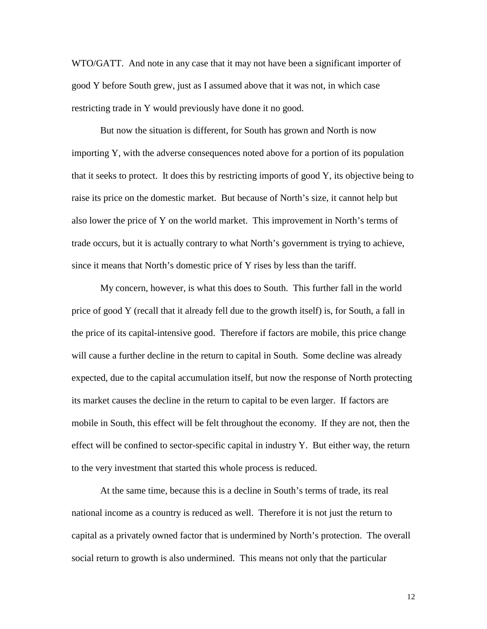WTO/GATT. And note in any case that it may not have been a significant importer of good Y before South grew, just as I assumed above that it was not, in which case restricting trade in Y would previously have done it no good.

But now the situation is different, for South has grown and North is now importing Y, with the adverse consequences noted above for a portion of its population that it seeks to protect. It does this by restricting imports of good Y, its objective being to raise its price on the domestic market. But because of North's size, it cannot help but also lower the price of Y on the world market. This improvement in North's terms of trade occurs, but it is actually contrary to what North's government is trying to achieve, since it means that North's domestic price of Y rises by less than the tariff.

My concern, however, is what this does to South. This further fall in the world price of good Y (recall that it already fell due to the growth itself) is, for South, a fall in the price of its capital-intensive good. Therefore if factors are mobile, this price change will cause a further decline in the return to capital in South. Some decline was already expected, due to the capital accumulation itself, but now the response of North protecting its market causes the decline in the return to capital to be even larger. If factors are mobile in South, this effect will be felt throughout the economy. If they are not, then the effect will be confined to sector-specific capital in industry Y. But either way, the return to the very investment that started this whole process is reduced.

At the same time, because this is a decline in South's terms of trade, its real national income as a country is reduced as well. Therefore it is not just the return to capital as a privately owned factor that is undermined by North's protection. The overall social return to growth is also undermined. This means not only that the particular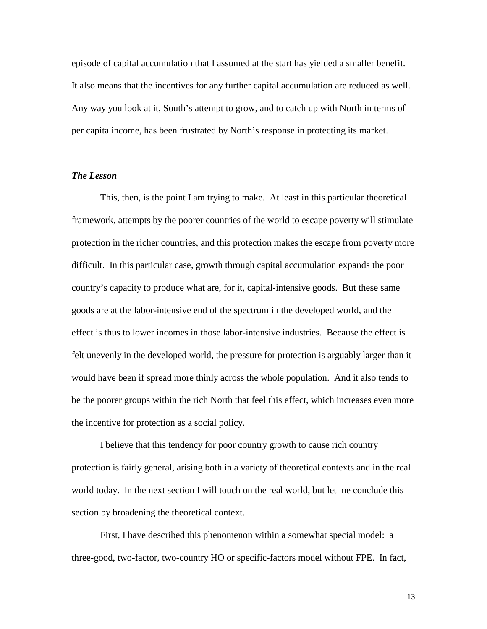episode of capital accumulation that I assumed at the start has yielded a smaller benefit. It also means that the incentives for any further capital accumulation are reduced as well. Any way you look at it, South's attempt to grow, and to catch up with North in terms of per capita income, has been frustrated by North's response in protecting its market.

#### *The Lesson*

This, then, is the point I am trying to make. At least in this particular theoretical framework, attempts by the poorer countries of the world to escape poverty will stimulate protection in the richer countries, and this protection makes the escape from poverty more difficult. In this particular case, growth through capital accumulation expands the poor country's capacity to produce what are, for it, capital-intensive goods. But these same goods are at the labor-intensive end of the spectrum in the developed world, and the effect is thus to lower incomes in those labor-intensive industries. Because the effect is felt unevenly in the developed world, the pressure for protection is arguably larger than it would have been if spread more thinly across the whole population. And it also tends to be the poorer groups within the rich North that feel this effect, which increases even more the incentive for protection as a social policy.

I believe that this tendency for poor country growth to cause rich country protection is fairly general, arising both in a variety of theoretical contexts and in the real world today. In the next section I will touch on the real world, but let me conclude this section by broadening the theoretical context.

First, I have described this phenomenon within a somewhat special model: a three-good, two-factor, two-country HO or specific-factors model without FPE. In fact,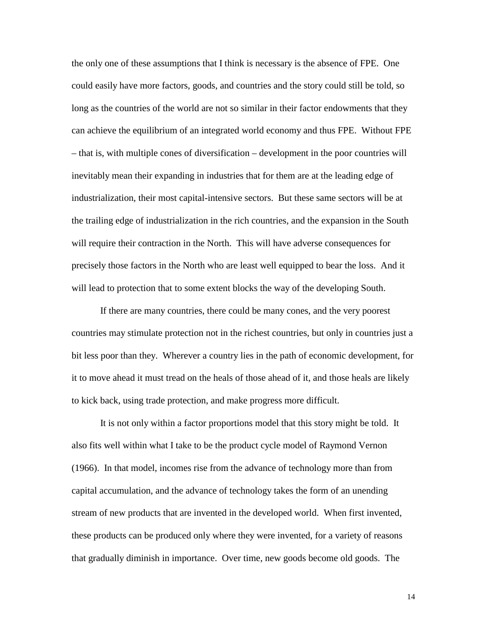the only one of these assumptions that I think is necessary is the absence of FPE. One could easily have more factors, goods, and countries and the story could still be told, so long as the countries of the world are not so similar in their factor endowments that they can achieve the equilibrium of an integrated world economy and thus FPE. Without FPE – that is, with multiple cones of diversification – development in the poor countries will inevitably mean their expanding in industries that for them are at the leading edge of industrialization, their most capital-intensive sectors. But these same sectors will be at the trailing edge of industrialization in the rich countries, and the expansion in the South will require their contraction in the North. This will have adverse consequences for precisely those factors in the North who are least well equipped to bear the loss. And it will lead to protection that to some extent blocks the way of the developing South.

If there are many countries, there could be many cones, and the very poorest countries may stimulate protection not in the richest countries, but only in countries just a bit less poor than they. Wherever a country lies in the path of economic development, for it to move ahead it must tread on the heals of those ahead of it, and those heals are likely to kick back, using trade protection, and make progress more difficult.

It is not only within a factor proportions model that this story might be told. It also fits well within what I take to be the product cycle model of Raymond Vernon (1966). In that model, incomes rise from the advance of technology more than from capital accumulation, and the advance of technology takes the form of an unending stream of new products that are invented in the developed world. When first invented, these products can be produced only where they were invented, for a variety of reasons that gradually diminish in importance. Over time, new goods become old goods. The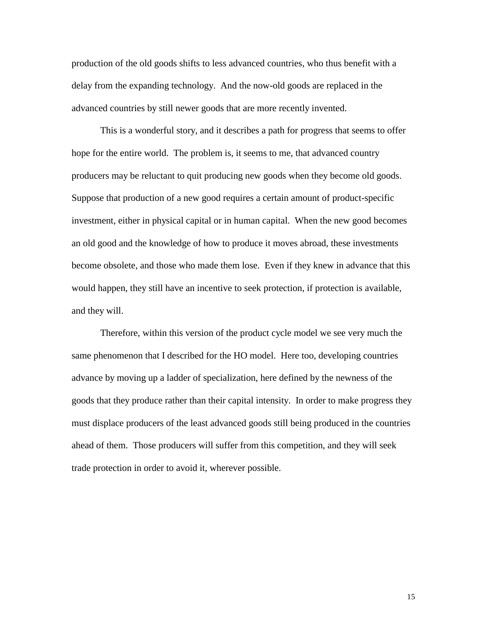production of the old goods shifts to less advanced countries, who thus benefit with a delay from the expanding technology. And the now-old goods are replaced in the advanced countries by still newer goods that are more recently invented.

This is a wonderful story, and it describes a path for progress that seems to offer hope for the entire world. The problem is, it seems to me, that advanced country producers may be reluctant to quit producing new goods when they become old goods. Suppose that production of a new good requires a certain amount of product-specific investment, either in physical capital or in human capital. When the new good becomes an old good and the knowledge of how to produce it moves abroad, these investments become obsolete, and those who made them lose. Even if they knew in advance that this would happen, they still have an incentive to seek protection, if protection is available, and they will.

Therefore, within this version of the product cycle model we see very much the same phenomenon that I described for the HO model. Here too, developing countries advance by moving up a ladder of specialization, here defined by the newness of the goods that they produce rather than their capital intensity. In order to make progress they must displace producers of the least advanced goods still being produced in the countries ahead of them. Those producers will suffer from this competition, and they will seek trade protection in order to avoid it, wherever possible.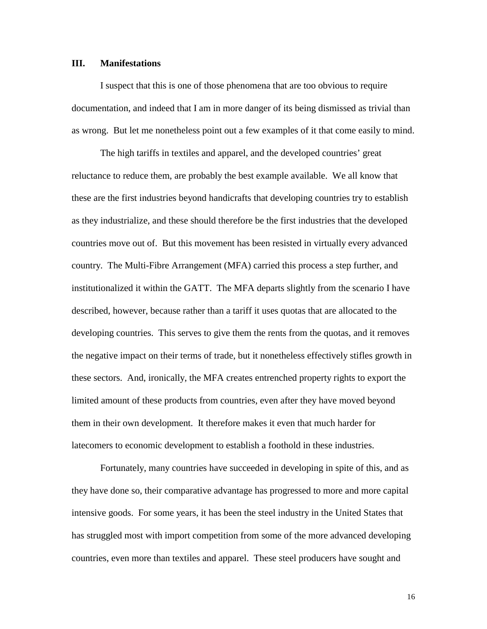#### **III. Manifestations**

I suspect that this is one of those phenomena that are too obvious to require documentation, and indeed that I am in more danger of its being dismissed as trivial than as wrong. But let me nonetheless point out a few examples of it that come easily to mind.

The high tariffs in textiles and apparel, and the developed countries' great reluctance to reduce them, are probably the best example available. We all know that these are the first industries beyond handicrafts that developing countries try to establish as they industrialize, and these should therefore be the first industries that the developed countries move out of. But this movement has been resisted in virtually every advanced country. The Multi-Fibre Arrangement (MFA) carried this process a step further, and institutionalized it within the GATT. The MFA departs slightly from the scenario I have described, however, because rather than a tariff it uses quotas that are allocated to the developing countries. This serves to give them the rents from the quotas, and it removes the negative impact on their terms of trade, but it nonetheless effectively stifles growth in these sectors. And, ironically, the MFA creates entrenched property rights to export the limited amount of these products from countries, even after they have moved beyond them in their own development. It therefore makes it even that much harder for latecomers to economic development to establish a foothold in these industries.

Fortunately, many countries have succeeded in developing in spite of this, and as they have done so, their comparative advantage has progressed to more and more capital intensive goods. For some years, it has been the steel industry in the United States that has struggled most with import competition from some of the more advanced developing countries, even more than textiles and apparel. These steel producers have sought and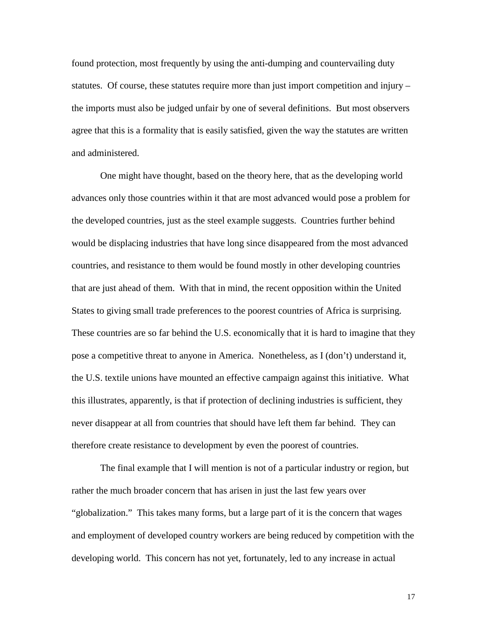found protection, most frequently by using the anti-dumping and countervailing duty statutes. Of course, these statutes require more than just import competition and injury – the imports must also be judged unfair by one of several definitions. But most observers agree that this is a formality that is easily satisfied, given the way the statutes are written and administered.

One might have thought, based on the theory here, that as the developing world advances only those countries within it that are most advanced would pose a problem for the developed countries, just as the steel example suggests. Countries further behind would be displacing industries that have long since disappeared from the most advanced countries, and resistance to them would be found mostly in other developing countries that are just ahead of them. With that in mind, the recent opposition within the United States to giving small trade preferences to the poorest countries of Africa is surprising. These countries are so far behind the U.S. economically that it is hard to imagine that they pose a competitive threat to anyone in America. Nonetheless, as I (don't) understand it, the U.S. textile unions have mounted an effective campaign against this initiative. What this illustrates, apparently, is that if protection of declining industries is sufficient, they never disappear at all from countries that should have left them far behind. They can therefore create resistance to development by even the poorest of countries.

The final example that I will mention is not of a particular industry or region, but rather the much broader concern that has arisen in just the last few years over "globalization." This takes many forms, but a large part of it is the concern that wages and employment of developed country workers are being reduced by competition with the developing world. This concern has not yet, fortunately, led to any increase in actual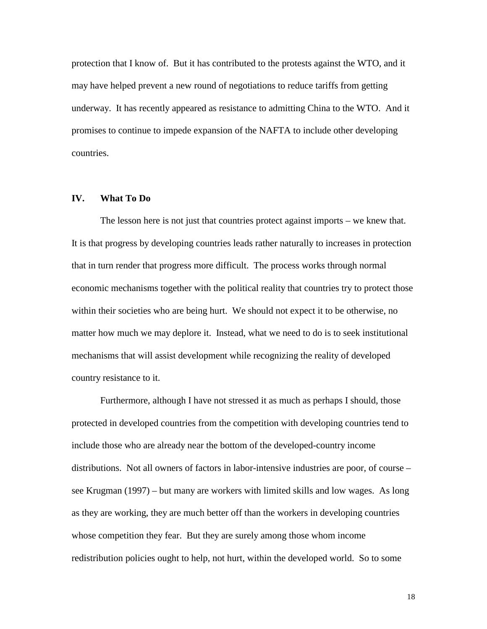protection that I know of. But it has contributed to the protests against the WTO, and it may have helped prevent a new round of negotiations to reduce tariffs from getting underway. It has recently appeared as resistance to admitting China to the WTO. And it promises to continue to impede expansion of the NAFTA to include other developing countries.

## **IV. What To Do**

The lesson here is not just that countries protect against imports – we knew that. It is that progress by developing countries leads rather naturally to increases in protection that in turn render that progress more difficult. The process works through normal economic mechanisms together with the political reality that countries try to protect those within their societies who are being hurt. We should not expect it to be otherwise, no matter how much we may deplore it. Instead, what we need to do is to seek institutional mechanisms that will assist development while recognizing the reality of developed country resistance to it.

Furthermore, although I have not stressed it as much as perhaps I should, those protected in developed countries from the competition with developing countries tend to include those who are already near the bottom of the developed-country income distributions. Not all owners of factors in labor-intensive industries are poor, of course – see Krugman (1997) – but many are workers with limited skills and low wages. As long as they are working, they are much better off than the workers in developing countries whose competition they fear. But they are surely among those whom income redistribution policies ought to help, not hurt, within the developed world. So to some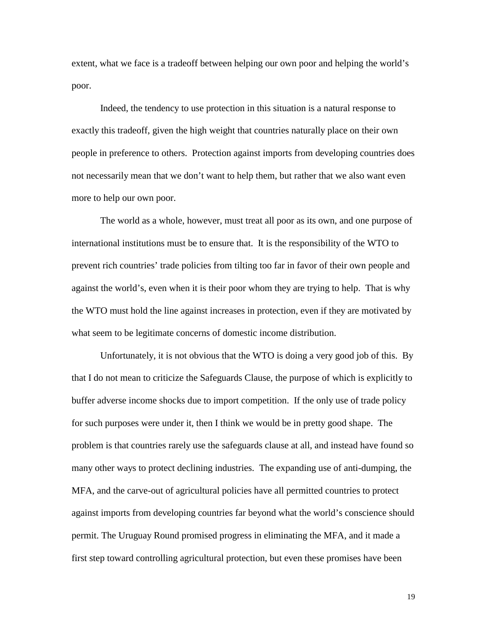extent, what we face is a tradeoff between helping our own poor and helping the world's poor.

Indeed, the tendency to use protection in this situation is a natural response to exactly this tradeoff, given the high weight that countries naturally place on their own people in preference to others. Protection against imports from developing countries does not necessarily mean that we don't want to help them, but rather that we also want even more to help our own poor.

The world as a whole, however, must treat all poor as its own, and one purpose of international institutions must be to ensure that. It is the responsibility of the WTO to prevent rich countries' trade policies from tilting too far in favor of their own people and against the world's, even when it is their poor whom they are trying to help. That is why the WTO must hold the line against increases in protection, even if they are motivated by what seem to be legitimate concerns of domestic income distribution.

Unfortunately, it is not obvious that the WTO is doing a very good job of this. By that I do not mean to criticize the Safeguards Clause, the purpose of which is explicitly to buffer adverse income shocks due to import competition. If the only use of trade policy for such purposes were under it, then I think we would be in pretty good shape. The problem is that countries rarely use the safeguards clause at all, and instead have found so many other ways to protect declining industries. The expanding use of anti-dumping, the MFA, and the carve-out of agricultural policies have all permitted countries to protect against imports from developing countries far beyond what the world's conscience should permit. The Uruguay Round promised progress in eliminating the MFA, and it made a first step toward controlling agricultural protection, but even these promises have been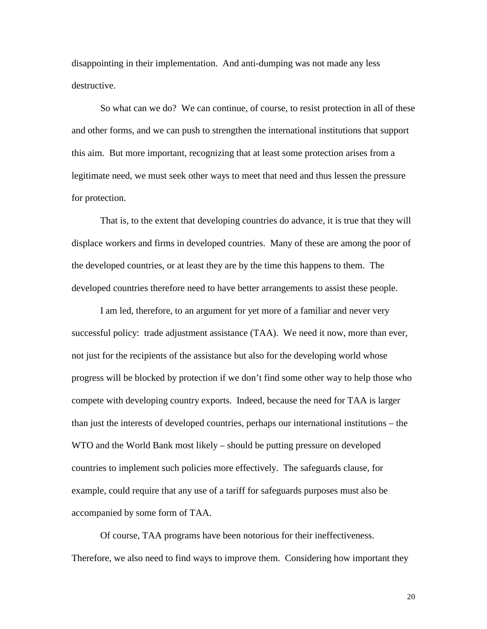disappointing in their implementation. And anti-dumping was not made any less destructive.

So what can we do? We can continue, of course, to resist protection in all of these and other forms, and we can push to strengthen the international institutions that support this aim. But more important, recognizing that at least some protection arises from a legitimate need, we must seek other ways to meet that need and thus lessen the pressure for protection.

That is, to the extent that developing countries do advance, it is true that they will displace workers and firms in developed countries. Many of these are among the poor of the developed countries, or at least they are by the time this happens to them. The developed countries therefore need to have better arrangements to assist these people.

I am led, therefore, to an argument for yet more of a familiar and never very successful policy: trade adjustment assistance (TAA). We need it now, more than ever, not just for the recipients of the assistance but also for the developing world whose progress will be blocked by protection if we don't find some other way to help those who compete with developing country exports. Indeed, because the need for TAA is larger than just the interests of developed countries, perhaps our international institutions – the WTO and the World Bank most likely – should be putting pressure on developed countries to implement such policies more effectively. The safeguards clause, for example, could require that any use of a tariff for safeguards purposes must also be accompanied by some form of TAA.

Of course, TAA programs have been notorious for their ineffectiveness. Therefore, we also need to find ways to improve them. Considering how important they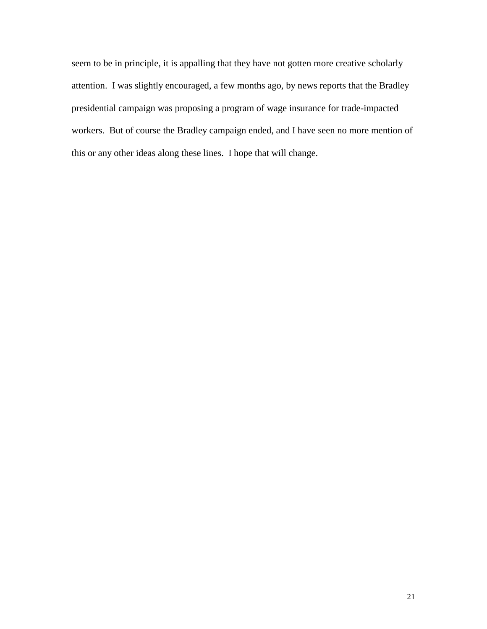seem to be in principle, it is appalling that they have not gotten more creative scholarly attention. I was slightly encouraged, a few months ago, by news reports that the Bradley presidential campaign was proposing a program of wage insurance for trade-impacted workers. But of course the Bradley campaign ended, and I have seen no more mention of this or any other ideas along these lines. I hope that will change.